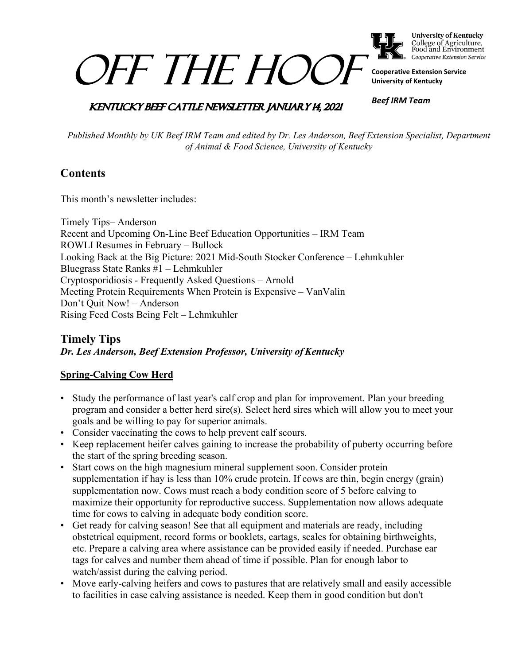

**University of Kentucky** College of Agriculture,<br>Food and Environment Cooperative Extension Service

**Cooperative Extension Service University of Kentucky**

# **KENTUCKY BEEF CATTLE NEWSLETTER JANUARY 14, 2021**

*OFF THE HOC* 

*Beef IRM Team*

*Published Monthly by UK Beef IRM Team and edited by Dr. Les Anderson, Beef Extension Specialist, Department of Animal & Food Science, University of Kentucky*

# **Contents**

This month's newsletter includes:

Timely Tips– Anderson Recent and Upcoming On-Line Beef Education Opportunities – IRM Team ROWLI Resumes in February – Bullock Looking Back at the Big Picture: 2021 Mid-South Stocker Conference – Lehmkuhler Bluegrass State Ranks #1 – Lehmkuhler Cryptosporidiosis - Frequently Asked Questions – Arnold Meeting Protein Requirements When Protein is Expensive – VanValin Don't Quit Now! – Anderson Rising Feed Costs Being Felt – Lehmkuhler

# **Timely Tips** *Dr. Les Anderson, Beef Extension Professor, University of Kentucky*

## **Spring-Calving Cow Herd**

- Study the performance of last year's calf crop and plan for improvement. Plan your breeding program and consider a better herd sire(s). Select herd sires which will allow you to meet your goals and be willing to pay for superior animals.
- Consider vaccinating the cows to help prevent calf scours.
- Keep replacement heifer calves gaining to increase the probability of puberty occurring before the start of the spring breeding season.
- Start cows on the high magnesium mineral supplement soon. Consider protein supplementation if hay is less than 10% crude protein. If cows are thin, begin energy (grain) supplementation now. Cows must reach a body condition score of 5 before calving to maximize their opportunity for reproductive success. Supplementation now allows adequate time for cows to calving in adequate body condition score.
- Get ready for calving season! See that all equipment and materials are ready, including obstetrical equipment, record forms or booklets, eartags, scales for obtaining birthweights, etc. Prepare a calving area where assistance can be provided easily if needed. Purchase ear tags for calves and number them ahead of time if possible. Plan for enough labor to watch/assist during the calving period.
- Move early-calving heifers and cows to pastures that are relatively small and easily accessible to facilities in case calving assistance is needed. Keep them in good condition but don't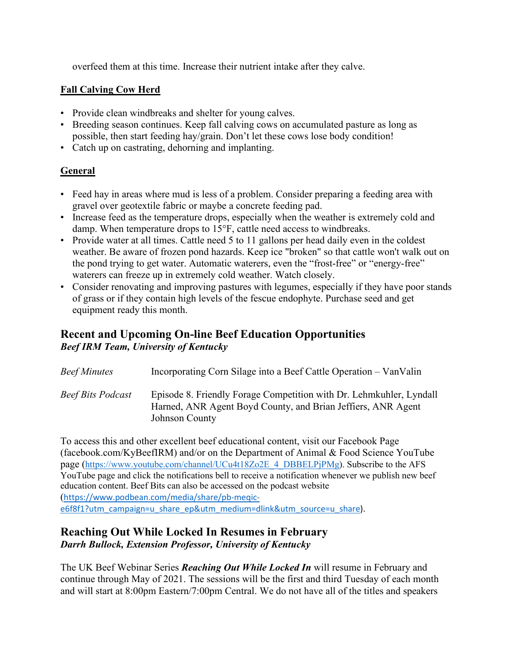overfeed them at this time. Increase their nutrient intake after they calve.

#### **Fall Calving Cow Herd**

- Provide clean windbreaks and shelter for young calves.
- Breeding season continues. Keep fall calving cows on accumulated pasture as long as possible, then start feeding hay/grain. Don't let these cows lose body condition!
- Catch up on castrating, dehorning and implanting.

## **General**

- Feed hay in areas where mud is less of a problem. Consider preparing a feeding area with gravel over geotextile fabric or maybe a concrete feeding pad.
- Increase feed as the temperature drops, especially when the weather is extremely cold and damp. When temperature drops to 15°F, cattle need access to windbreaks.
- Provide water at all times. Cattle need 5 to 11 gallons per head daily even in the coldest weather. Be aware of frozen pond hazards. Keep ice "broken" so that cattle won't walk out on the pond trying to get water. Automatic waterers, even the "frost-free" or "energy-free" waterers can freeze up in extremely cold weather. Watch closely.
- Consider renovating and improving pastures with legumes, especially if they have poor stands of grass or if they contain high levels of the fescue endophyte. Purchase seed and get equipment ready this month.

# **Recent and Upcoming On-line Beef Education Opportunities** *Beef IRM Team, University of Kentucky*

| Beef Minutes      | Incorporating Corn Silage into a Beef Cattle Operation – VanValin                                                                                     |
|-------------------|-------------------------------------------------------------------------------------------------------------------------------------------------------|
| Beef Bits Podcast | Episode 8. Friendly Forage Competition with Dr. Lehmkuhler, Lyndall<br>Harned, ANR Agent Boyd County, and Brian Jeffiers, ANR Agent<br>Johnson County |

To access this and other excellent beef educational content, visit our Facebook Page (facebook.com/KyBeefIRM) and/or on the Department of Animal & Food Science YouTube page [\(https://www.youtube.com/channel/UCu4t18Zo2E\\_4\\_DBBELPjPMg\)](https://www.youtube.com/channel/UCu4t18Zo2E_4_DBBELPjPMg). Subscribe to the AFS YouTube page and click the notifications bell to receive a notification whenever we publish new beef education content. Beef Bits can also be accessed on the podcast website ([https://www.podbean.com/media/share/pb-meqic-](https://www.podbean.com/media/share/pb-meqic-e6f8f1?utm_campaign=u_share_ep&utm_medium=dlink&utm_source=u_share)

#### [e6f8f1?utm\\_campaign=u\\_share\\_ep&utm\\_medium=dlink&utm\\_source=u\\_share\)](https://www.podbean.com/media/share/pb-meqic-e6f8f1?utm_campaign=u_share_ep&utm_medium=dlink&utm_source=u_share).

#### **Reaching Out While Locked In Resumes in February** *Darrh Bullock, Extension Professor, University of Kentucky*

The UK Beef Webinar Series *Reaching Out While Locked In* will resume in February and continue through May of 2021. The sessions will be the first and third Tuesday of each month and will start at 8:00pm Eastern/7:00pm Central. We do not have all of the titles and speakers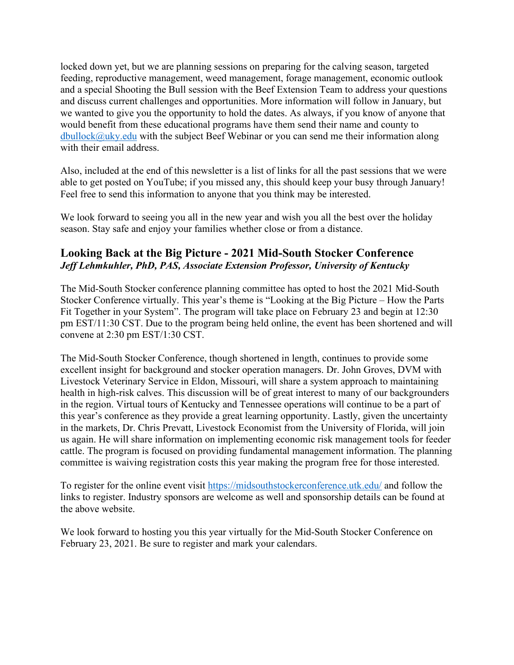locked down yet, but we are planning sessions on preparing for the calving season, targeted feeding, reproductive management, weed management, forage management, economic outlook and a special Shooting the Bull session with the Beef Extension Team to address your questions and discuss current challenges and opportunities. More information will follow in January, but we wanted to give you the opportunity to hold the dates. As always, if you know of anyone that would benefit from these educational programs have them send their name and county to  $d$ bullock $@$ uky.edu with the subject Beef Webinar or you can send me their information along with their email address.

Also, included at the end of this newsletter is a list of links for all the past sessions that we were able to get posted on YouTube; if you missed any, this should keep your busy through January! Feel free to send this information to anyone that you think may be interested.

We look forward to seeing you all in the new year and wish you all the best over the holiday season. Stay safe and enjoy your families whether close or from a distance.

# **Looking Back at the Big Picture - 2021 Mid-South Stocker Conference**  *Jeff Lehmkuhler, PhD, PAS, Associate Extension Professor, University of Kentucky*

The Mid-South Stocker conference planning committee has opted to host the 2021 Mid-South Stocker Conference virtually. This year's theme is "Looking at the Big Picture – How the Parts Fit Together in your System". The program will take place on February 23 and begin at 12:30 pm EST/11:30 CST. Due to the program being held online, the event has been shortened and will convene at 2:30 pm EST/1:30 CST.

The Mid-South Stocker Conference, though shortened in length, continues to provide some excellent insight for background and stocker operation managers. Dr. John Groves, DVM with Livestock Veterinary Service in Eldon, Missouri, will share a system approach to maintaining health in high-risk calves. This discussion will be of great interest to many of our backgrounders in the region. Virtual tours of Kentucky and Tennessee operations will continue to be a part of this year's conference as they provide a great learning opportunity. Lastly, given the uncertainty in the markets, Dr. Chris Prevatt, Livestock Economist from the University of Florida, will join us again. He will share information on implementing economic risk management tools for feeder cattle. The program is focused on providing fundamental management information. The planning committee is waiving registration costs this year making the program free for those interested.

To register for the online event visit<https://midsouthstockerconference.utk.edu/> and follow the links to register. Industry sponsors are welcome as well and sponsorship details can be found at the above website.

We look forward to hosting you this year virtually for the Mid-South Stocker Conference on February 23, 2021. Be sure to register and mark your calendars.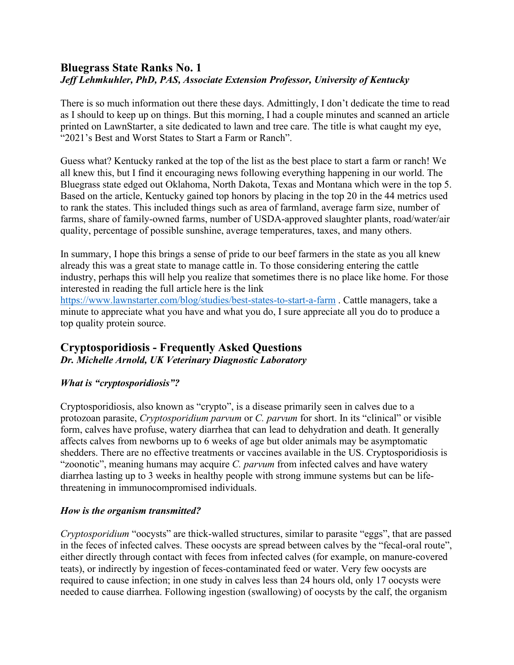# **Bluegrass State Ranks No. 1** *Jeff Lehmkuhler, PhD, PAS, Associate Extension Professor, University of Kentucky*

There is so much information out there these days. Admittingly, I don't dedicate the time to read as I should to keep up on things. But this morning, I had a couple minutes and scanned an article printed on LawnStarter, a site dedicated to lawn and tree care. The title is what caught my eye, "2021's Best and Worst States to Start a Farm or Ranch".

Guess what? Kentucky ranked at the top of the list as the best place to start a farm or ranch! We all knew this, but I find it encouraging news following everything happening in our world. The Bluegrass state edged out Oklahoma, North Dakota, Texas and Montana which were in the top 5. Based on the article, Kentucky gained top honors by placing in the top 20 in the 44 metrics used to rank the states. This included things such as area of farmland, average farm size, number of farms, share of family-owned farms, number of USDA-approved slaughter plants, road/water/air quality, percentage of possible sunshine, average temperatures, taxes, and many others.

In summary, I hope this brings a sense of pride to our beef farmers in the state as you all knew already this was a great state to manage cattle in. To those considering entering the cattle industry, perhaps this will help you realize that sometimes there is no place like home. For those interested in reading the full article here is the link

<https://www.lawnstarter.com/blog/studies/best-states-to-start-a-farm> . Cattle managers, take a minute to appreciate what you have and what you do, I sure appreciate all you do to produce a top quality protein source.

### **Cryptosporidiosis - Frequently Asked Questions** *Dr. Michelle Arnold, UK Veterinary Diagnostic Laboratory*

## *What is "cryptosporidiosis"?*

Cryptosporidiosis, also known as "crypto", is a disease primarily seen in calves due to a protozoan parasite, *Cryptosporidium parvum* or *C. parvum* for short. In its "clinical" or visible form, calves have profuse, watery diarrhea that can lead to dehydration and death. It generally affects calves from newborns up to 6 weeks of age but older animals may be asymptomatic shedders. There are no effective treatments or vaccines available in the US. Cryptosporidiosis is "zoonotic", meaning humans may acquire *C. parvum* from infected calves and have watery diarrhea lasting up to 3 weeks in healthy people with strong immune systems but can be lifethreatening in immunocompromised individuals.

## *How is the organism transmitted?*

*Cryptosporidium* "oocysts" are thick-walled structures, similar to parasite "eggs", that are passed in the feces of infected calves. These oocysts are spread between calves by the "fecal-oral route", either directly through contact with feces from infected calves (for example, on manure-covered teats), or indirectly by ingestion of feces-contaminated feed or water. Very few oocysts are required to cause infection; in one study in calves less than 24 hours old, only 17 oocysts were needed to cause diarrhea. Following ingestion (swallowing) of oocysts by the calf, the organism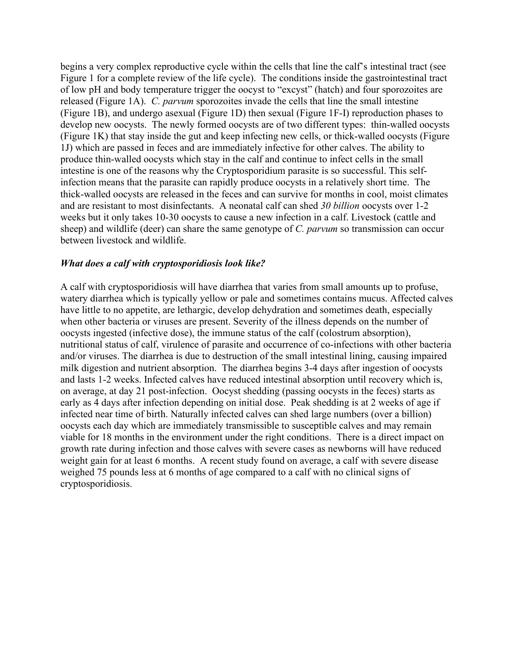begins a very complex reproductive cycle within the cells that line the calf's intestinal tract (see Figure 1 for a complete review of the life cycle). The conditions inside the gastrointestinal tract of low pH and body temperature trigger the oocyst to "excyst" (hatch) and four sporozoites are released (Figure 1A). *C. parvum* sporozoites invade the cells that line the small intestine (Figure 1B), and undergo asexual (Figure 1D) then sexual (Figure 1F-I) reproduction phases to develop new oocysts. The newly formed oocysts are of two different types: thin-walled oocysts (Figure 1K) that stay inside the gut and keep infecting new cells, or thick-walled oocysts (Figure 1J) which are passed in feces and are immediately infective for other calves. The ability to produce thin-walled oocysts which stay in the calf and continue to infect cells in the small intestine is one of the reasons why the Cryptosporidium parasite is so successful. This selfinfection means that the parasite can rapidly produce oocysts in a relatively short time. The thick-walled oocysts are released in the feces and can survive for months in cool, moist climates and are resistant to most disinfectants. A neonatal calf can shed *30 billion* oocysts over 1-2 weeks but it only takes 10-30 oocysts to cause a new infection in a calf. Livestock (cattle and sheep) and wildlife (deer) can share the same genotype of *C. parvum* so transmission can occur between livestock and wildlife.

#### *What does a calf with cryptosporidiosis look like?*

A calf with cryptosporidiosis will have diarrhea that varies from small amounts up to profuse, watery diarrhea which is typically yellow or pale and sometimes contains mucus. Affected calves have little to no appetite, are lethargic, develop dehydration and sometimes death, especially when other bacteria or viruses are present. Severity of the illness depends on the number of oocysts ingested (infective dose), the immune status of the calf (colostrum absorption), nutritional status of calf, virulence of parasite and occurrence of co-infections with other bacteria and/or viruses. The diarrhea is due to destruction of the small intestinal lining, causing impaired milk digestion and nutrient absorption. The diarrhea begins 3-4 days after ingestion of oocysts and lasts 1-2 weeks. Infected calves have reduced intestinal absorption until recovery which is, on average, at day 21 post-infection. Oocyst shedding (passing oocysts in the feces) starts as early as 4 days after infection depending on initial dose. Peak shedding is at 2 weeks of age if infected near time of birth. Naturally infected calves can shed large numbers (over a billion) oocysts each day which are immediately transmissible to susceptible calves and may remain viable for 18 months in the environment under the right conditions. There is a direct impact on growth rate during infection and those calves with severe cases as newborns will have reduced weight gain for at least 6 months. A recent study found on average, a calf with severe disease weighed 75 pounds less at 6 months of age compared to a calf with no clinical signs of cryptosporidiosis.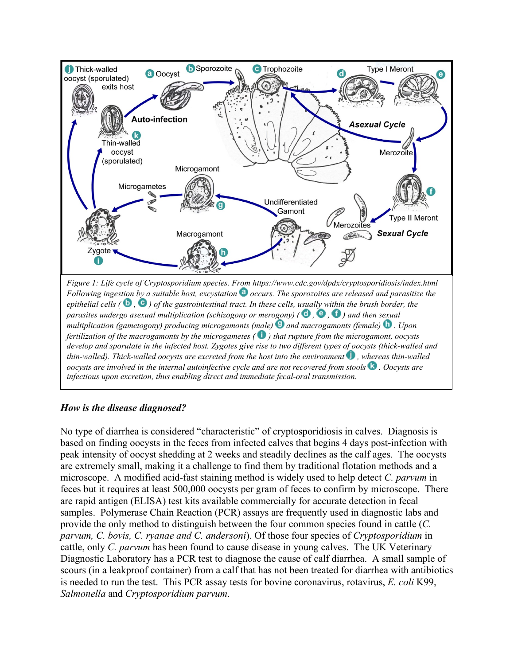

#### *How is the disease diagnosed?*

No type of diarrhea is considered "characteristic" of cryptosporidiosis in calves. Diagnosis is based on finding oocysts in the feces from infected calves that begins 4 days post-infection with peak intensity of oocyst shedding at 2 weeks and steadily declines as the calf ages. The oocysts are extremely small, making it a challenge to find them by traditional flotation methods and a microscope. A modified acid-fast staining method is widely used to help detect *C. parvum* in feces but it requires at least 500,000 oocysts per gram of feces to confirm by microscope. There are rapid antigen (ELISA) test kits available commercially for accurate detection in fecal samples. Polymerase Chain Reaction (PCR) assays are frequently used in diagnostic labs and provide the only method to distinguish between the four common species found in cattle (*C. parvum, C. bovis, C. ryanae and C. andersoni*). Of those four species of *Cryptosporidium* in cattle, only *C. parvum* has been found to cause disease in young calves. The UK Veterinary Diagnostic Laboratory has a PCR test to diagnose the cause of calf diarrhea. A small sample of scours (in a leakproof container) from a calf that has not been treated for diarrhea with antibiotics is needed to run the test. This PCR assay tests for bovine coronavirus, rotavirus, *E. coli* K99, *Salmonella* and *Cryptosporidium parvum*.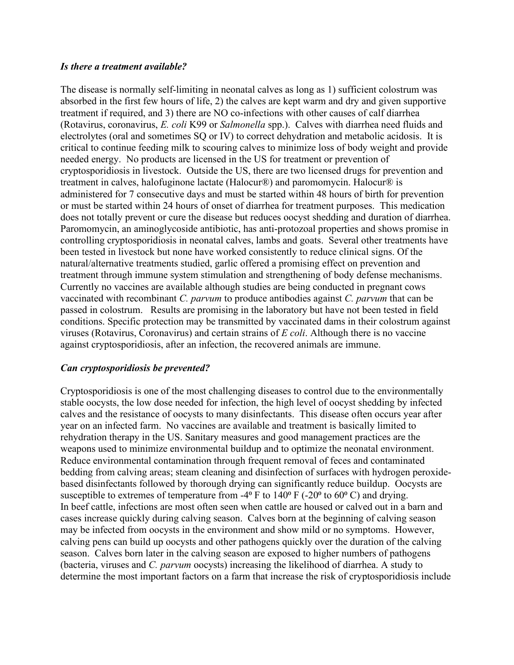#### *Is there a treatment available?*

The disease is normally self-limiting in neonatal calves as long as 1) sufficient colostrum was absorbed in the first few hours of life, 2) the calves are kept warm and dry and given supportive treatment if required, and 3) there are NO co-infections with other causes of calf diarrhea (Rotavirus, coronavirus, *E. coli* K99 or *Salmonella* spp.). Calves with diarrhea need fluids and electrolytes (oral and sometimes SQ or IV) to correct dehydration and metabolic acidosis. It is critical to continue feeding milk to scouring calves to minimize loss of body weight and provide needed energy. No products are licensed in the US for treatment or prevention of cryptosporidiosis in livestock. Outside the US, there are two licensed drugs for prevention and treatment in calves, halofuginone lactate (Halocur®) and paromomycin. Halocur® is administered for 7 consecutive days and must be started within 48 hours of birth for prevention or must be started within 24 hours of onset of diarrhea for treatment purposes. This medication does not totally prevent or cure the disease but reduces oocyst shedding and duration of diarrhea. Paromomycin, an aminoglycoside antibiotic, has anti-protozoal properties and shows promise in controlling cryptosporidiosis in neonatal calves, lambs and goats. Several other treatments have been tested in livestock but none have worked consistently to reduce clinical signs. Of the natural/alternative treatments studied, garlic offered a promising effect on prevention and treatment through immune system stimulation and strengthening of body defense mechanisms. Currently no vaccines are available although studies are being conducted in pregnant cows vaccinated with recombinant *C. parvum* to produce antibodies against *C. parvum* that can be passed in colostrum. Results are promising in the laboratory but have not been tested in field conditions. Specific protection may be transmitted by vaccinated dams in their colostrum against viruses (Rotavirus, Coronavirus) and certain strains of *E coli*. Although there is no vaccine against cryptosporidiosis, after an infection, the recovered animals are immune.

#### *Can cryptosporidiosis be prevented?*

Cryptosporidiosis is one of the most challenging diseases to control due to the environmentally stable oocysts, the low dose needed for infection, the high level of oocyst shedding by infected calves and the resistance of oocysts to many disinfectants. This disease often occurs year after year on an infected farm. No vaccines are available and treatment is basically limited to rehydration therapy in the US. Sanitary measures and good management practices are the weapons used to minimize environmental buildup and to optimize the neonatal environment. Reduce environmental contamination through frequent removal of feces and contaminated bedding from calving areas; steam cleaning and disinfection of surfaces with hydrogen peroxidebased disinfectants followed by thorough drying can significantly reduce buildup. Oocysts are susceptible to extremes of temperature from  $-4^{\circ}$  F to  $140^{\circ}$  F ( $-20^{\circ}$  to  $60^{\circ}$  C) and drying. In beef cattle, infections are most often seen when cattle are housed or calved out in a barn and cases increase quickly during calving season. Calves born at the beginning of calving season may be infected from oocysts in the environment and show mild or no symptoms. However, calving pens can build up oocysts and other pathogens quickly over the duration of the calving season. Calves born later in the calving season are exposed to higher numbers of pathogens (bacteria, viruses and *C. parvum* oocysts) increasing the likelihood of diarrhea. A study to determine the most important factors on a farm that increase the risk of cryptosporidiosis include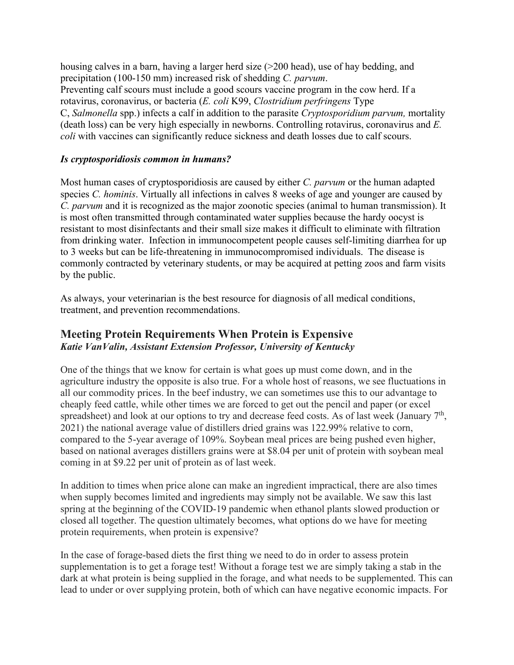housing calves in a barn, having a larger herd size (>200 head), use of hay bedding, and precipitation (100-150 mm) increased risk of shedding *C. parvum*. Preventing calf scours must include a good scours vaccine program in the cow herd. If a rotavirus, coronavirus, or bacteria (*E. coli* K99, *Clostridium perfringens* Type C, *Salmonella* spp.) infects a calf in addition to the parasite *Cryptosporidium parvum,* mortality (death loss) can be very high especially in newborns. Controlling rotavirus, coronavirus and *E. coli* with vaccines can significantly reduce sickness and death losses due to calf scours.

#### *Is cryptosporidiosis common in humans?*

Most human cases of cryptosporidiosis are caused by either *C. parvum* or the human adapted species *C. hominis*. Virtually all infections in calves 8 weeks of age and younger are caused by *C. parvum* and it is recognized as the major zoonotic species (animal to human transmission). It is most often transmitted through contaminated water supplies because the hardy oocyst is resistant to most disinfectants and their small size makes it difficult to eliminate with filtration from drinking water. Infection in immunocompetent people causes self-limiting diarrhea for up to 3 weeks but can be life-threatening in immunocompromised individuals. The disease is commonly contracted by veterinary students, or may be acquired at petting zoos and farm visits by the public.

As always, your veterinarian is the best resource for diagnosis of all medical conditions, treatment, and prevention recommendations.

# **Meeting Protein Requirements When Protein is Expensive**  *Katie VanValin, Assistant Extension Professor, University of Kentucky*

One of the things that we know for certain is what goes up must come down, and in the agriculture industry the opposite is also true. For a whole host of reasons, we see fluctuations in all our commodity prices. In the beef industry, we can sometimes use this to our advantage to cheaply feed cattle, while other times we are forced to get out the pencil and paper (or excel spreadsheet) and look at our options to try and decrease feed costs. As of last week (January 7<sup>th</sup>, 2021) the national average value of distillers dried grains was 122.99% relative to corn, compared to the 5-year average of 109%. Soybean meal prices are being pushed even higher, based on national averages distillers grains were at \$8.04 per unit of protein with soybean meal coming in at \$9.22 per unit of protein as of last week.

In addition to times when price alone can make an ingredient impractical, there are also times when supply becomes limited and ingredients may simply not be available. We saw this last spring at the beginning of the COVID-19 pandemic when ethanol plants slowed production or closed all together. The question ultimately becomes, what options do we have for meeting protein requirements, when protein is expensive?

In the case of forage-based diets the first thing we need to do in order to assess protein supplementation is to get a forage test! Without a forage test we are simply taking a stab in the dark at what protein is being supplied in the forage, and what needs to be supplemented. This can lead to under or over supplying protein, both of which can have negative economic impacts. For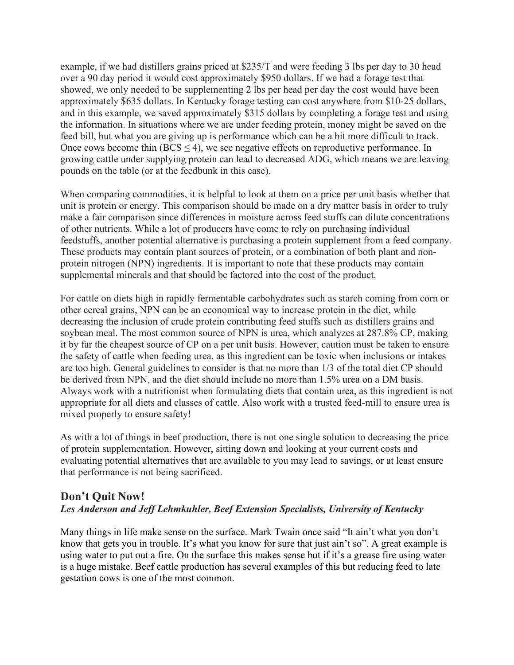example, if we had distillers grains priced at \$235/T and were feeding 3 lbs per day to 30 head over a 90 day period it would cost approximately \$950 dollars. If we had a forage test that showed, we only needed to be supplementing 2 lbs per head per day the cost would have been approximately \$635 dollars. In Kentucky forage testing can cost anywhere from \$10-25 dollars, and in this example, we saved approximately \$315 dollars by completing a forage test and using the information. In situations where we are under feeding protein, money might be saved on the feed bill, but what you are giving up is performance which can be a bit more difficult to track. Once cows become thin ( $BCS \leq 4$ ), we see negative effects on reproductive performance. In growing cattle under supplying protein can lead to decreased ADG, which means we are leaving pounds on the table (or at the feedbunk in this case).

When comparing commodities, it is helpful to look at them on a price per unit basis whether that unit is protein or energy. This comparison should be made on a dry matter basis in order to truly make a fair comparison since differences in moisture across feed stuffs can dilute concentrations of other nutrients. While a lot of producers have come to rely on purchasing individual feedstuffs, another potential alternative is purchasing a protein supplement from a feed company. These products may contain plant sources of protein, or a combination of both plant and nonprotein nitrogen (NPN) ingredients. It is important to note that these products may contain supplemental minerals and that should be factored into the cost of the product.

For cattle on diets high in rapidly fermentable carbohydrates such as starch coming from corn or other cereal grains, NPN can be an economical way to increase protein in the diet, while decreasing the inclusion of crude protein contributing feed stuffs such as distillers grains and soybean meal. The most common source of NPN is urea, which analyzes at 287.8% CP, making it by far the cheapest source of CP on a per unit basis. However, caution must be taken to ensure the safety of cattle when feeding urea, as this ingredient can be toxic when inclusions or intakes are too high. General guidelines to consider is that no more than 1/3 of the total diet CP should be derived from NPN, and the diet should include no more than 1.5% urea on a DM basis. Always work with a nutritionist when formulating diets that contain urea, as this ingredient is not appropriate for all diets and classes of cattle. Also work with a trusted feed-mill to ensure urea is mixed properly to ensure safety!

As with a lot of things in beef production, there is not one single solution to decreasing the price of protein supplementation. However, sitting down and looking at your current costs and evaluating potential alternatives that are available to you may lead to savings, or at least ensure that performance is not being sacrificed.

### **Don't Quit Now!**  *Les Anderson and Jeff Lehmkuhler, Beef Extension Specialists, University of Kentucky*

Many things in life make sense on the surface. Mark Twain once said "It ain't what you don't know that gets you in trouble. It's what you know for sure that just ain't so". A great example is using water to put out a fire. On the surface this makes sense but if it's a grease fire using water is a huge mistake. Beef cattle production has several examples of this but reducing feed to late gestation cows is one of the most common.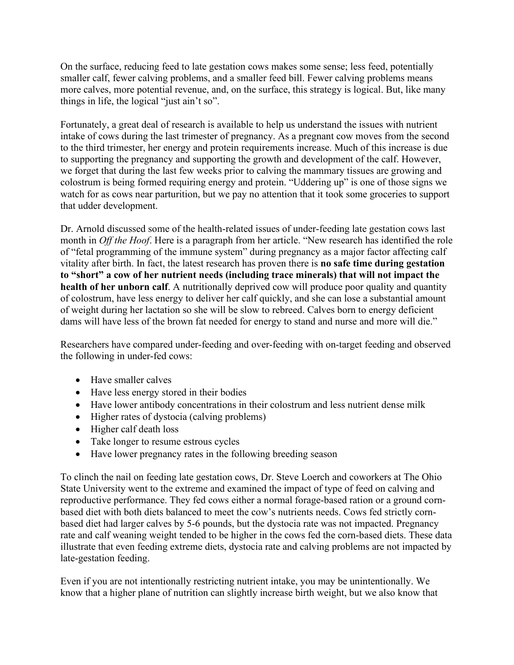On the surface, reducing feed to late gestation cows makes some sense; less feed, potentially smaller calf, fewer calving problems, and a smaller feed bill. Fewer calving problems means more calves, more potential revenue, and, on the surface, this strategy is logical. But, like many things in life, the logical "just ain't so".

Fortunately, a great deal of research is available to help us understand the issues with nutrient intake of cows during the last trimester of pregnancy. As a pregnant cow moves from the second to the third trimester, her energy and protein requirements increase. Much of this increase is due to supporting the pregnancy and supporting the growth and development of the calf. However, we forget that during the last few weeks prior to calving the mammary tissues are growing and colostrum is being formed requiring energy and protein. "Uddering up" is one of those signs we watch for as cows near parturition, but we pay no attention that it took some groceries to support that udder development.

Dr. Arnold discussed some of the health-related issues of under-feeding late gestation cows last month in *Off the Hoof*. Here is a paragraph from her article. "New research has identified the role of "fetal programming of the immune system" during pregnancy as a major factor affecting calf vitality after birth. In fact, the latest research has proven there is **no safe time during gestation to "short" a cow of her nutrient needs (including trace minerals) that will not impact the health of her unborn calf**. A nutritionally deprived cow will produce poor quality and quantity of colostrum, have less energy to deliver her calf quickly, and she can lose a substantial amount of weight during her lactation so she will be slow to rebreed. Calves born to energy deficient dams will have less of the brown fat needed for energy to stand and nurse and more will die."

Researchers have compared under-feeding and over-feeding with on-target feeding and observed the following in under-fed cows:

- Have smaller calves
- Have less energy stored in their bodies
- Have lower antibody concentrations in their colostrum and less nutrient dense milk
- Higher rates of dystocia (calving problems)
- Higher calf death loss
- Take longer to resume estrous cycles
- Have lower pregnancy rates in the following breeding season

To clinch the nail on feeding late gestation cows, Dr. Steve Loerch and coworkers at The Ohio State University went to the extreme and examined the impact of type of feed on calving and reproductive performance. They fed cows either a normal forage-based ration or a ground cornbased diet with both diets balanced to meet the cow's nutrients needs. Cows fed strictly cornbased diet had larger calves by 5-6 pounds, but the dystocia rate was not impacted. Pregnancy rate and calf weaning weight tended to be higher in the cows fed the corn-based diets. These data illustrate that even feeding extreme diets, dystocia rate and calving problems are not impacted by late-gestation feeding.

Even if you are not intentionally restricting nutrient intake, you may be unintentionally. We know that a higher plane of nutrition can slightly increase birth weight, but we also know that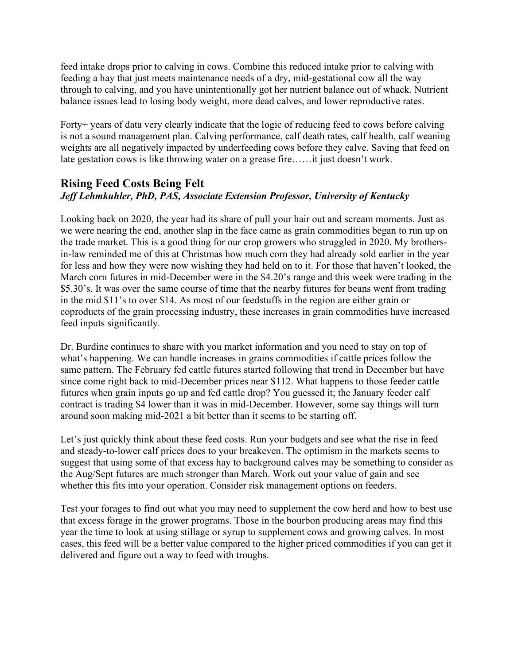feed intake drops prior to calving in cows. Combine this reduced intake prior to calving with feeding a hay that just meets maintenance needs of a dry, mid-gestational cow all the way through to calving, and you have unintentionally got her nutrient balance out of whack. Nutrient balance issues lead to losing body weight, more dead calves, and lower reproductive rates.

Forty+ years of data very clearly indicate that the logic of reducing feed to cows before calving is not a sound management plan. Calving performance, calf death rates, calf health, calf weaning weights are all negatively impacted by underfeeding cows before they calve. Saving that feed on late gestation cows is like throwing water on a grease fire……it just doesn't work.

### **Rising Feed Costs Being Felt** *Jeff Lehmkuhler, PhD, PAS, Associate Extension Professor, University of Kentucky*

Looking back on 2020, the year had its share of pull your hair out and scream moments. Just as we were nearing the end, another slap in the face came as grain commodities began to run up on the trade market. This is a good thing for our crop growers who struggled in 2020. My brothersin-law reminded me of this at Christmas how much corn they had already sold earlier in the year for less and how they were now wishing they had held on to it. For those that haven't looked, the March corn futures in mid-December were in the \$4.20's range and this week were trading in the \$5.30's. It was over the same course of time that the nearby futures for beans went from trading in the mid \$11's to over \$14. As most of our feedstuffs in the region are either grain or coproducts of the grain processing industry, these increases in grain commodities have increased feed inputs significantly.

Dr. Burdine continues to share with you market information and you need to stay on top of what's happening. We can handle increases in grains commodities if cattle prices follow the same pattern. The February fed cattle futures started following that trend in December but have since come right back to mid-December prices near \$112. What happens to those feeder cattle futures when grain inputs go up and fed cattle drop? You guessed it; the January feeder calf contract is trading \$4 lower than it was in mid-December. However, some say things will turn around soon making mid-2021 a bit better than it seems to be starting off.

Let's just quickly think about these feed costs. Run your budgets and see what the rise in feed and steady-to-lower calf prices does to your breakeven. The optimism in the markets seems to suggest that using some of that excess hay to background calves may be something to consider as the Aug/Sept futures are much stronger than March. Work out your value of gain and see whether this fits into your operation. Consider risk management options on feeders.

Test your forages to find out what you may need to supplement the cow herd and how to best use that excess forage in the grower programs. Those in the bourbon producing areas may find this year the time to look at using stillage or syrup to supplement cows and growing calves. In most cases, this feed will be a better value compared to the higher priced commodities if you can get it delivered and figure out a way to feed with troughs.